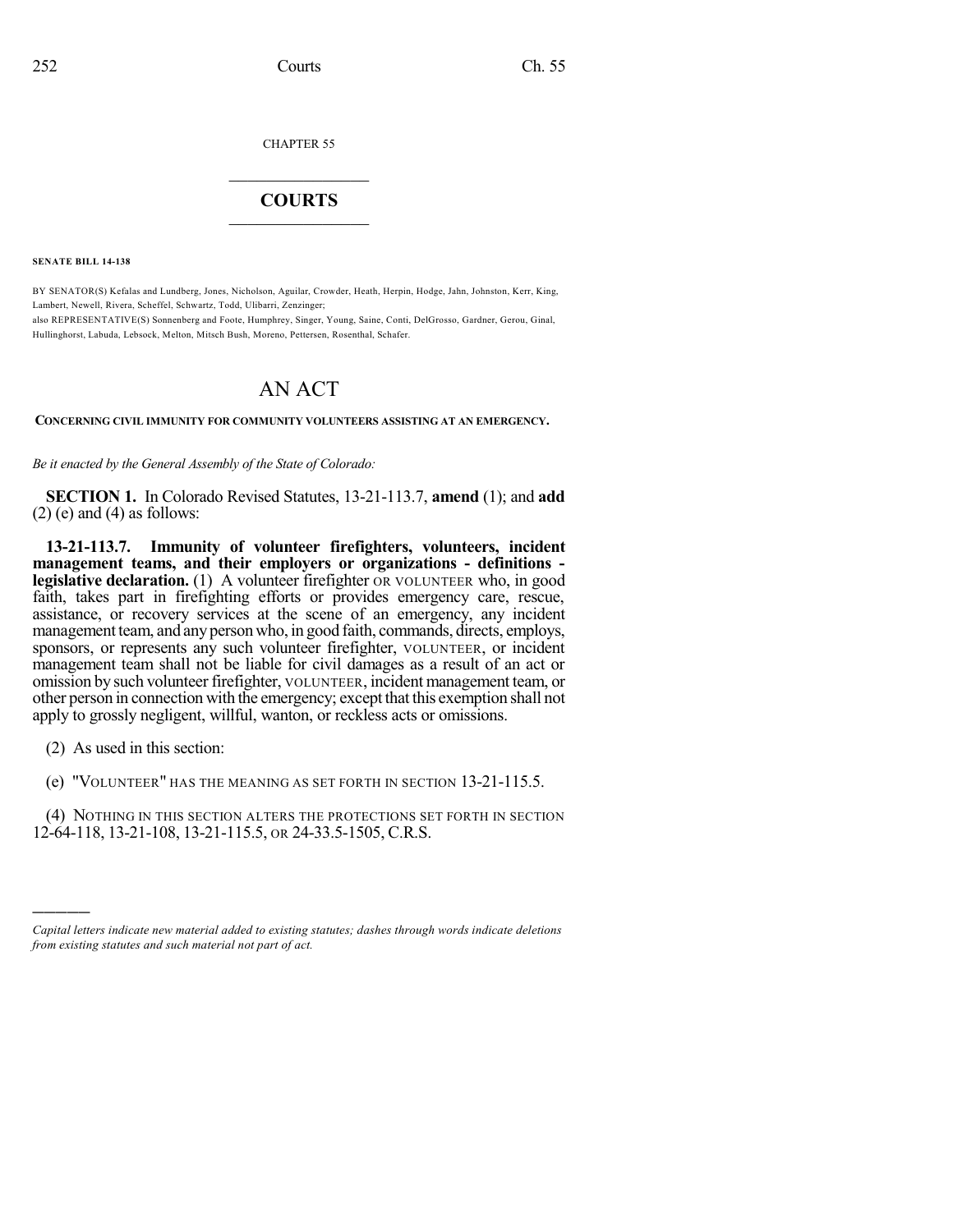CHAPTER 55

## $\mathcal{L}_\text{max}$  . The set of the set of the set of the set of the set of the set of the set of the set of the set of the set of the set of the set of the set of the set of the set of the set of the set of the set of the set **COURTS**  $\_$

**SENATE BILL 14-138**

BY SENATOR(S) Kefalas and Lundberg, Jones, Nicholson, Aguilar, Crowder, Heath, Herpin, Hodge, Jahn, Johnston, Kerr, King, Lambert, Newell, Rivera, Scheffel, Schwartz, Todd, Ulibarri, Zenzinger;

also REPRESENTATIVE(S) Sonnenberg and Foote, Humphrey, Singer, Young, Saine, Conti, DelGrosso, Gardner, Gerou, Ginal, Hullinghorst, Labuda, Lebsock, Melton, Mitsch Bush, Moreno, Pettersen, Rosenthal, Schafer.

## AN ACT

**CONCERNING CIVIL IMMUNITY FOR COMMUNITY VOLUNTEERS ASSISTING AT AN EMERGENCY.**

*Be it enacted by the General Assembly of the State of Colorado:*

**SECTION 1.** In Colorado Revised Statutes, 13-21-113.7, **amend** (1); and **add**  $(2)$  (e) and  $(4)$  as follows:

**13-21-113.7. Immunity of volunteer firefighters, volunteers, incident management teams, and their employers or organizations - definitions legislative declaration.** (1) A volunteer firefighter OR VOLUNTEER who, in good faith, takes part in firefighting efforts or provides emergency care, rescue, assistance, or recovery services at the scene of an emergency, any incident management team, and any person who, in good faith, commands, directs, employs, sponsors, or represents any such volunteer firefighter, VOLUNTEER, or incident management team shall not be liable for civil damages as a result of an act or omission by such volunteer firefighter, VOLUNTEER, incident management team, or other person in connection with the emergency; except that this exemption shall not apply to grossly negligent, willful, wanton, or reckless acts or omissions.

(2) As used in this section:

)))))

(e) "VOLUNTEER" HAS THE MEANING AS SET FORTH IN SECTION 13-21-115.5.

(4) NOTHING IN THIS SECTION ALTERS THE PROTECTIONS SET FORTH IN SECTION 12-64-118, 13-21-108, 13-21-115.5, OR 24-33.5-1505, C.R.S.

*Capital letters indicate new material added to existing statutes; dashes through words indicate deletions from existing statutes and such material not part of act.*